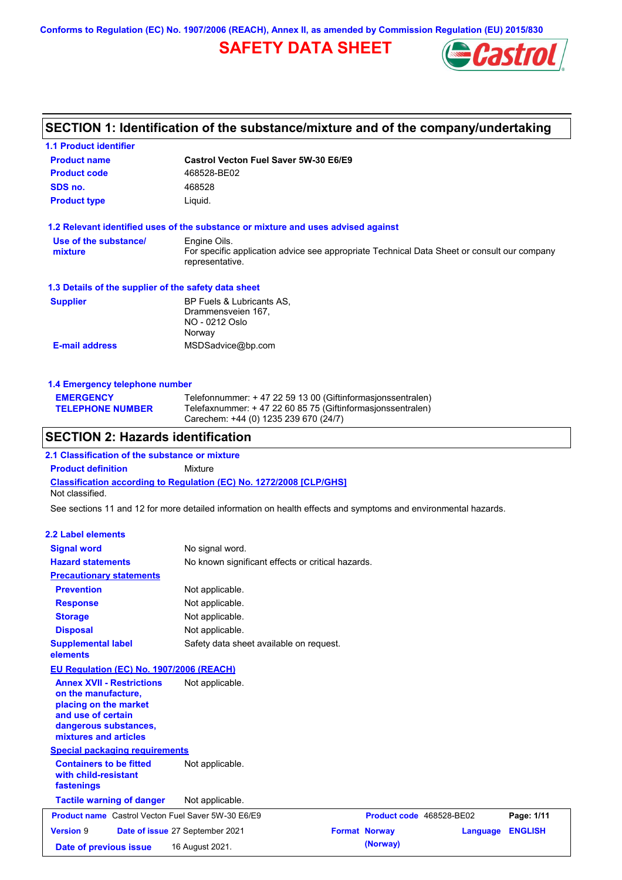**Conforms to Regulation (EC) No. 1907/2006 (REACH), Annex II, as amended by Commission Regulation (EU) 2015/830**

### **SAFETY DATA SHEET**



### **SECTION 1: Identification of the substance/mixture and of the company/undertaking**

| <b>1.1 Product identifier</b>                                                                                                                            |                                                                                                                                |                          |                 |                |
|----------------------------------------------------------------------------------------------------------------------------------------------------------|--------------------------------------------------------------------------------------------------------------------------------|--------------------------|-----------------|----------------|
| <b>Product name</b>                                                                                                                                      | Castrol Vecton Fuel Saver 5W-30 E6/E9                                                                                          |                          |                 |                |
| <b>Product code</b>                                                                                                                                      | 468528-BE02                                                                                                                    |                          |                 |                |
| SDS no.                                                                                                                                                  | 468528                                                                                                                         |                          |                 |                |
| <b>Product type</b>                                                                                                                                      | Liquid.                                                                                                                        |                          |                 |                |
| 1.2 Relevant identified uses of the substance or mixture and uses advised against                                                                        |                                                                                                                                |                          |                 |                |
| Use of the substance/<br>mixture                                                                                                                         | Engine Oils.<br>For specific application advice see appropriate Technical Data Sheet or consult our company<br>representative. |                          |                 |                |
| 1.3 Details of the supplier of the safety data sheet                                                                                                     |                                                                                                                                |                          |                 |                |
| <b>Supplier</b>                                                                                                                                          | BP Fuels & Lubricants AS,<br>Drammensveien 167.<br>NO - 0212 Oslo<br>Norway                                                    |                          |                 |                |
| <b>E-mail address</b>                                                                                                                                    | MSDSadvice@bp.com                                                                                                              |                          |                 |                |
|                                                                                                                                                          |                                                                                                                                |                          |                 |                |
| 1.4 Emergency telephone number<br><b>EMERGENCY</b>                                                                                                       | Telefonnummer: +47 22 59 13 00 (Giftinformasjonssentralen)                                                                     |                          |                 |                |
| <b>TELEPHONE NUMBER</b>                                                                                                                                  | Telefaxnummer: + 47 22 60 85 75 (Giftinformasjonssentralen)<br>Carechem: +44 (0) 1235 239 670 (24/7)                           |                          |                 |                |
| <b>SECTION 2: Hazards identification</b>                                                                                                                 |                                                                                                                                |                          |                 |                |
| 2.1 Classification of the substance or mixture                                                                                                           |                                                                                                                                |                          |                 |                |
| <b>Product definition</b>                                                                                                                                | Mixture                                                                                                                        |                          |                 |                |
| <b>Classification according to Regulation (EC) No. 1272/2008 [CLP/GHS]</b><br>Not classified.                                                            |                                                                                                                                |                          |                 |                |
| See sections 11 and 12 for more detailed information on health effects and symptoms and environmental hazards.                                           |                                                                                                                                |                          |                 |                |
| <b>2.2 Label elements</b>                                                                                                                                |                                                                                                                                |                          |                 |                |
| <b>Signal word</b>                                                                                                                                       | No signal word.                                                                                                                |                          |                 |                |
| <b>Hazard statements</b>                                                                                                                                 | No known significant effects or critical hazards.                                                                              |                          |                 |                |
| <b>Precautionary statements</b>                                                                                                                          |                                                                                                                                |                          |                 |                |
| <b>Prevention</b>                                                                                                                                        | Not applicable.                                                                                                                |                          |                 |                |
| <b>Response</b>                                                                                                                                          | Not applicable.                                                                                                                |                          |                 |                |
| <b>Storage</b>                                                                                                                                           | Not applicable.                                                                                                                |                          |                 |                |
| <b>Disposal</b>                                                                                                                                          | Not applicable.                                                                                                                |                          |                 |                |
| <b>Supplemental label</b><br>elements                                                                                                                    | Safety data sheet available on request.                                                                                        |                          |                 |                |
| EU Regulation (EC) No. 1907/2006 (REACH)                                                                                                                 |                                                                                                                                |                          |                 |                |
| <b>Annex XVII - Restrictions</b><br>on the manufacture,<br>placing on the market<br>and use of certain<br>dangerous substances,<br>mixtures and articles | Not applicable.                                                                                                                |                          |                 |                |
| <b>Special packaging requirements</b>                                                                                                                    |                                                                                                                                |                          |                 |                |
| <b>Containers to be fitted</b><br>with child-resistant<br>fastenings                                                                                     | Not applicable.                                                                                                                |                          |                 |                |
| <b>Tactile warning of danger</b>                                                                                                                         | Not applicable.                                                                                                                |                          |                 |                |
| <b>Product name</b> Castrol Vecton Fuel Saver 5W-30 E6/E9                                                                                                |                                                                                                                                | Product code 468528-BE02 |                 | Page: 1/11     |
| Version 9                                                                                                                                                | Date of issue 27 September 2021                                                                                                | <b>Format Norway</b>     | <b>Language</b> | <b>ENGLISH</b> |
|                                                                                                                                                          |                                                                                                                                |                          |                 |                |

**Date of previous issue 16 August 2021. (Norway)** (Norway)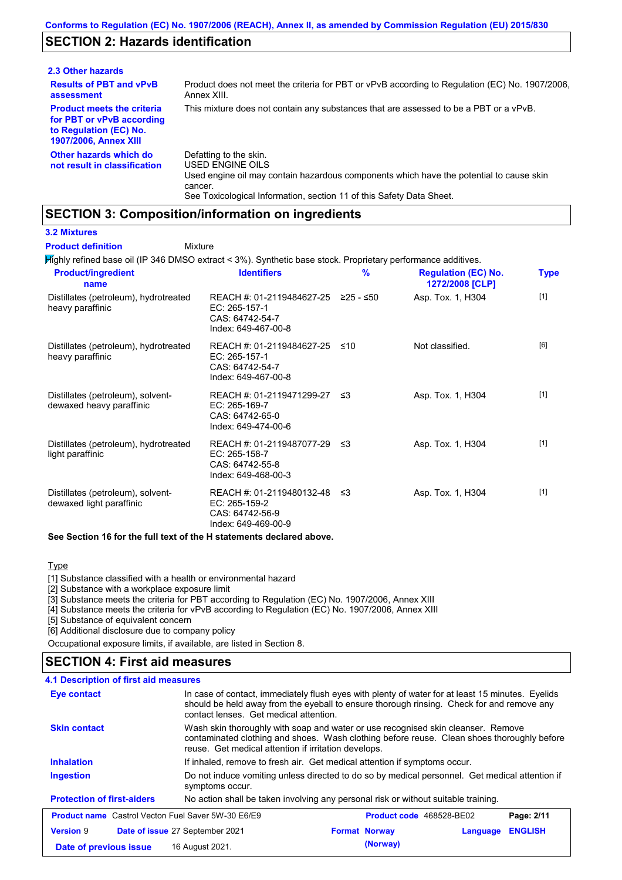### **SECTION 2: Hazards identification**

| 2.3 Other hazards                                                                                                        |                                                                                                                                                                                                                          |
|--------------------------------------------------------------------------------------------------------------------------|--------------------------------------------------------------------------------------------------------------------------------------------------------------------------------------------------------------------------|
| <b>Results of PBT and vPvB</b><br>assessment                                                                             | Product does not meet the criteria for PBT or vPvB according to Regulation (EC) No. 1907/2006.<br>Annex XIII.                                                                                                            |
| <b>Product meets the criteria</b><br>for PBT or vPvB according<br>to Regulation (EC) No.<br><b>1907/2006, Annex XIII</b> | This mixture does not contain any substances that are assessed to be a PBT or a vPvB.                                                                                                                                    |
| Other hazards which do<br>not result in classification                                                                   | Defatting to the skin.<br>USED ENGINE OILS<br>Used engine oil may contain hazardous components which have the potential to cause skin<br>cancer.<br>See Toxicological Information, section 11 of this Safety Data Sheet. |

### **SECTION 3: Composition/information on ingredients**

Mixture

#### **3.2 Mixtures**

**Product definition**

Highly refined base oil (IP 346 DMSO extract < 3%). Synthetic base stock. Proprietary performance additives.

| <b>Product/ingredient</b><br>name                             | <b>Identifiers</b>                                                                      | $\frac{9}{6}$ | <b>Regulation (EC) No.</b><br>1272/2008 [CLP] | <b>Type</b> |
|---------------------------------------------------------------|-----------------------------------------------------------------------------------------|---------------|-----------------------------------------------|-------------|
| Distillates (petroleum), hydrotreated<br>heavy paraffinic     | REACH #: 01-2119484627-25<br>EC: 265-157-1<br>CAS: 64742-54-7<br>Index: 649-467-00-8    | ≥25 - ≤50     | Asp. Tox. 1, H304                             | $[1]$       |
| Distillates (petroleum), hydrotreated<br>heavy paraffinic     | REACH #: 01-2119484627-25<br>EC: 265-157-1<br>CAS: 64742-54-7<br>Index: 649-467-00-8    | ≤10           | Not classified.                               | [6]         |
| Distillates (petroleum), solvent-<br>dewaxed heavy paraffinic | REACH #: 01-2119471299-27 ≤3<br>EC: 265-169-7<br>CAS: 64742-65-0<br>Index: 649-474-00-6 |               | Asp. Tox. 1, H304                             | $[1]$       |
| Distillates (petroleum), hydrotreated<br>light paraffinic     | REACH #: 01-2119487077-29 ≤3<br>EC: 265-158-7<br>CAS: 64742-55-8<br>Index: 649-468-00-3 |               | Asp. Tox. 1, H304                             | $[1]$       |
| Distillates (petroleum), solvent-<br>dewaxed light paraffinic | REACH #: 01-2119480132-48 ≤3<br>EC: 265-159-2<br>CAS: 64742-56-9<br>Index: 649-469-00-9 |               | Asp. Tox. 1, H304                             | $[1]$       |

#### **See Section 16 for the full text of the H statements declared above.**

Type

[1] Substance classified with a health or environmental hazard

[2] Substance with a workplace exposure limit

[3] Substance meets the criteria for PBT according to Regulation (EC) No. 1907/2006, Annex XIII

[4] Substance meets the criteria for vPvB according to Regulation (EC) No. 1907/2006, Annex XIII

[5] Substance of equivalent concern

[6] Additional disclosure due to company policy

Occupational exposure limits, if available, are listed in Section 8.

### **4.1 Description of first aid measures SECTION 4: First aid measures**

| Eye contact                                               | In case of contact, immediately flush eyes with plenty of water for at least 15 minutes. Eyelids<br>should be held away from the eyeball to ensure thorough rinsing. Check for and remove any<br>contact lenses. Get medical attention. |                          |          |                |  |
|-----------------------------------------------------------|-----------------------------------------------------------------------------------------------------------------------------------------------------------------------------------------------------------------------------------------|--------------------------|----------|----------------|--|
| <b>Skin contact</b>                                       | Wash skin thoroughly with soap and water or use recognised skin cleanser. Remove<br>contaminated clothing and shoes. Wash clothing before reuse. Clean shoes thoroughly before<br>reuse. Get medical attention if irritation develops.  |                          |          |                |  |
| <b>Inhalation</b>                                         | If inhaled, remove to fresh air. Get medical attention if symptoms occur.                                                                                                                                                               |                          |          |                |  |
| <b>Ingestion</b>                                          | Do not induce vomiting unless directed to do so by medical personnel. Get medical attention if<br>symptoms occur.                                                                                                                       |                          |          |                |  |
| <b>Protection of first-aiders</b>                         | No action shall be taken involving any personal risk or without suitable training.                                                                                                                                                      |                          |          |                |  |
| <b>Product name</b> Castrol Vecton Fuel Saver 5W-30 E6/E9 |                                                                                                                                                                                                                                         | Product code 468528-BE02 |          | Page: 2/11     |  |
| <b>Version 9</b>                                          | Date of issue 27 September 2021                                                                                                                                                                                                         | <b>Format Norway</b>     | Language | <b>ENGLISH</b> |  |
|                                                           |                                                                                                                                                                                                                                         |                          |          |                |  |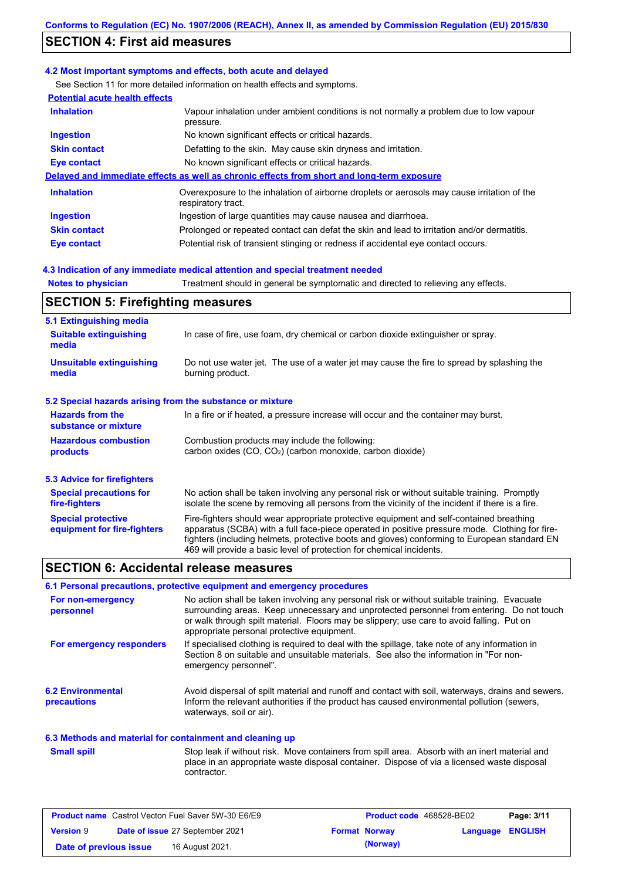### **SECTION 4: First aid measures**

#### **4.2 Most important symptoms and effects, both acute and delayed**

See Section 11 for more detailed information on health effects and symptoms.

| <b>Potential acute health effects</b> |                                                                                                                   |
|---------------------------------------|-------------------------------------------------------------------------------------------------------------------|
| <b>Inhalation</b>                     | Vapour inhalation under ambient conditions is not normally a problem due to low vapour<br>pressure.               |
| <b>Ingestion</b>                      | No known significant effects or critical hazards.                                                                 |
| <b>Skin contact</b>                   | Defatting to the skin. May cause skin dryness and irritation.                                                     |
| <b>Eye contact</b>                    | No known significant effects or critical hazards.                                                                 |
|                                       | Delayed and immediate effects as well as chronic effects from short and long-term exposure                        |
| <b>Inhalation</b>                     | Overexposure to the inhalation of airborne droplets or aerosols may cause irritation of the<br>respiratory tract. |
| <b>Ingestion</b>                      | Ingestion of large quantities may cause nausea and diarrhoea.                                                     |
| <b>Skin contact</b>                   | Prolonged or repeated contact can defat the skin and lead to irritation and/or dermatitis.                        |
| Eye contact                           | Potential risk of transient stinging or redness if accidental eye contact occurs.                                 |
|                                       |                                                                                                                   |

#### **4.3 Indication of any immediate medical attention and special treatment needed**

**Notes to physician** Treatment should in general be symptomatic and directed to relieving any effects.

### **SECTION 5: Firefighting measures**

| 5.1 Extinguishing media                                   |                                                                                                                                                                                                                                                                                                                                                                   |
|-----------------------------------------------------------|-------------------------------------------------------------------------------------------------------------------------------------------------------------------------------------------------------------------------------------------------------------------------------------------------------------------------------------------------------------------|
| <b>Suitable extinguishing</b><br>media                    | In case of fire, use foam, dry chemical or carbon dioxide extinguisher or spray.                                                                                                                                                                                                                                                                                  |
| <b>Unsuitable extinguishing</b><br>media                  | Do not use water jet. The use of a water jet may cause the fire to spread by splashing the<br>burning product.                                                                                                                                                                                                                                                    |
| 5.2 Special hazards arising from the substance or mixture |                                                                                                                                                                                                                                                                                                                                                                   |
| <b>Hazards from the</b><br>substance or mixture           | In a fire or if heated, a pressure increase will occur and the container may burst.                                                                                                                                                                                                                                                                               |
| <b>Hazardous combustion</b><br>products                   | Combustion products may include the following:<br>carbon oxides (CO, CO <sub>2</sub> ) (carbon monoxide, carbon dioxide)                                                                                                                                                                                                                                          |
| 5.3 Advice for firefighters                               |                                                                                                                                                                                                                                                                                                                                                                   |
| <b>Special precautions for</b><br>fire-fighters           | No action shall be taken involving any personal risk or without suitable training. Promptly<br>isolate the scene by removing all persons from the vicinity of the incident if there is a fire.                                                                                                                                                                    |
| <b>Special protective</b><br>equipment for fire-fighters  | Fire-fighters should wear appropriate protective equipment and self-contained breathing<br>apparatus (SCBA) with a full face-piece operated in positive pressure mode. Clothing for fire-<br>fighters (including helmets, protective boots and gloves) conforming to European standard EN<br>469 will provide a basic level of protection for chemical incidents. |

### **SECTION 6: Accidental release measures**

#### **6.1 Personal precautions, protective equipment and emergency procedures**

| For non-emergency<br>personnel          | No action shall be taken involving any personal risk or without suitable training. Evacuate<br>surrounding areas. Keep unnecessary and unprotected personnel from entering. Do not touch<br>or walk through spilt material. Floors may be slippery; use care to avoid falling. Put on<br>appropriate personal protective equipment. |
|-----------------------------------------|-------------------------------------------------------------------------------------------------------------------------------------------------------------------------------------------------------------------------------------------------------------------------------------------------------------------------------------|
| For emergency responders                | If specialised clothing is required to deal with the spillage, take note of any information in<br>Section 8 on suitable and unsuitable materials. See also the information in "For non-<br>emergency personnel".                                                                                                                    |
| <b>6.2 Environmental</b><br>precautions | Avoid dispersal of spilt material and runoff and contact with soil, waterways, drains and sewers.<br>Inform the relevant authorities if the product has caused environmental pollution (sewers,<br>waterways, soil or air).                                                                                                         |

#### **6.3 Methods and material for containment and cleaning up**

Stop leak if without risk. Move containers from spill area. Absorb with an inert material and place in an appropriate waste disposal container. Dispose of via a licensed waste disposal contractor. **Small spill**

| <b>Product name</b> Castrol Vecton Fuel Saver 5W-30 E6/E9 |  | <b>Product code</b> 468528-BE02 |  | Page: 3/11           |                         |  |
|-----------------------------------------------------------|--|---------------------------------|--|----------------------|-------------------------|--|
| <b>Version 9</b>                                          |  | Date of issue 27 September 2021 |  | <b>Format Norway</b> | <b>Language ENGLISH</b> |  |
| Date of previous issue                                    |  | 16 August 2021.                 |  | (Norway)             |                         |  |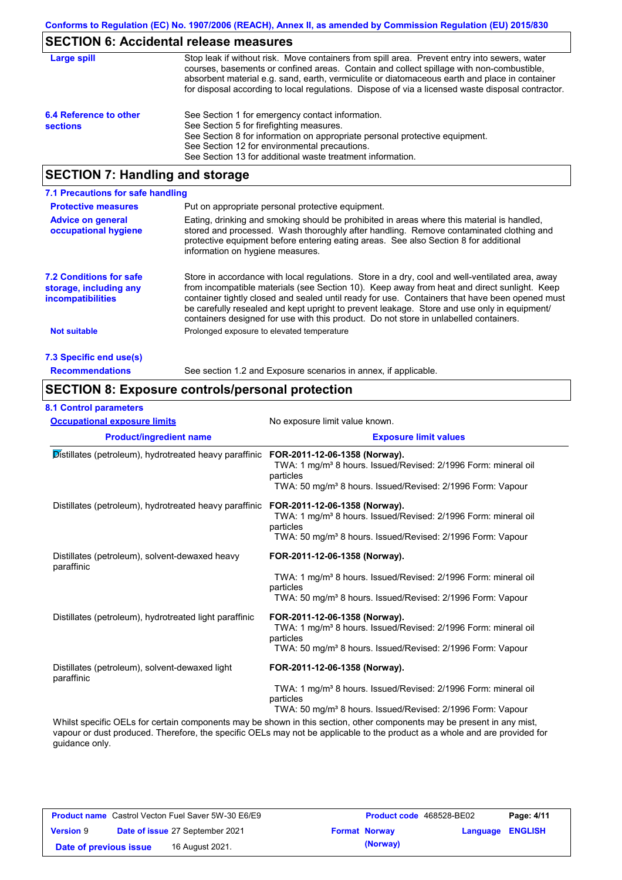### **SECTION 6: Accidental release measures**

| Large spill                               | Stop leak if without risk. Move containers from spill area. Prevent entry into sewers, water<br>courses, basements or confined areas. Contain and collect spillage with non-combustible,<br>absorbent material e.g. sand, earth, vermiculite or diatomaceous earth and place in container<br>for disposal according to local regulations. Dispose of via a licensed waste disposal contractor. |
|-------------------------------------------|------------------------------------------------------------------------------------------------------------------------------------------------------------------------------------------------------------------------------------------------------------------------------------------------------------------------------------------------------------------------------------------------|
| 6.4 Reference to other<br><b>sections</b> | See Section 1 for emergency contact information.<br>See Section 5 for firefighting measures.<br>See Section 8 for information on appropriate personal protective equipment.<br>See Section 12 for environmental precautions.<br>See Section 13 for additional waste treatment information.                                                                                                     |

### **SECTION 7: Handling and storage**

| 7.1 Precautions for safe handling                                                    |                                                                                                                                                                                                                                                                                                                                                                                                                                                                                          |
|--------------------------------------------------------------------------------------|------------------------------------------------------------------------------------------------------------------------------------------------------------------------------------------------------------------------------------------------------------------------------------------------------------------------------------------------------------------------------------------------------------------------------------------------------------------------------------------|
| <b>Protective measures</b>                                                           | Put on appropriate personal protective equipment.                                                                                                                                                                                                                                                                                                                                                                                                                                        |
| <b>Advice on general</b><br>occupational hygiene                                     | Eating, drinking and smoking should be prohibited in areas where this material is handled.<br>stored and processed. Wash thoroughly after handling. Remove contaminated clothing and<br>protective equipment before entering eating areas. See also Section 8 for additional<br>information on hygiene measures.                                                                                                                                                                         |
| <b>7.2 Conditions for safe</b><br>storage, including any<br><i>incompatibilities</i> | Store in accordance with local requiations. Store in a dry, cool and well-ventilated area, away<br>from incompatible materials (see Section 10). Keep away from heat and direct sunlight. Keep<br>container tightly closed and sealed until ready for use. Containers that have been opened must<br>be carefully resealed and kept upright to prevent leakage. Store and use only in equipment/<br>containers designed for use with this product. Do not store in unlabelled containers. |
| <b>Not suitable</b>                                                                  | Prolonged exposure to elevated temperature                                                                                                                                                                                                                                                                                                                                                                                                                                               |
| 7.3 Specific end use(s)                                                              |                                                                                                                                                                                                                                                                                                                                                                                                                                                                                          |
| <b>Recommendations</b>                                                               | See section 1.2 and Exposure scenarios in annex, if applicable.                                                                                                                                                                                                                                                                                                                                                                                                                          |

### **SECTION 8: Exposure controls/personal protection**

#### **8.1 Control parameters**

| <b>Occupational exposure limits</b>                          | No exposure limit value known.                                                                                                                                                                     |  |  |  |
|--------------------------------------------------------------|----------------------------------------------------------------------------------------------------------------------------------------------------------------------------------------------------|--|--|--|
| <b>Product/ingredient name</b>                               | <b>Exposure limit values</b>                                                                                                                                                                       |  |  |  |
| Distillates (petroleum), hydrotreated heavy paraffinic       | FOR-2011-12-06-1358 (Norway).<br>TWA: 1 mg/m <sup>3</sup> 8 hours. Issued/Revised: 2/1996 Form: mineral oil<br>particles<br>TWA: 50 mg/m <sup>3</sup> 8 hours. Issued/Revised: 2/1996 Form: Vapour |  |  |  |
| Distillates (petroleum), hydrotreated heavy paraffinic       | FOR-2011-12-06-1358 (Norway).<br>TWA: 1 mg/m <sup>3</sup> 8 hours. Issued/Revised: 2/1996 Form: mineral oil<br>particles<br>TWA: 50 mg/m <sup>3</sup> 8 hours. Issued/Revised: 2/1996 Form: Vapour |  |  |  |
| Distillates (petroleum), solvent-dewaxed heavy<br>paraffinic | FOR-2011-12-06-1358 (Norway).<br>TWA: 1 mg/m <sup>3</sup> 8 hours. Issued/Revised: 2/1996 Form: mineral oil<br>particles<br>TWA: 50 mg/m <sup>3</sup> 8 hours. Issued/Revised: 2/1996 Form: Vapour |  |  |  |
| Distillates (petroleum), hydrotreated light paraffinic       | FOR-2011-12-06-1358 (Norway).<br>TWA: 1 mg/m <sup>3</sup> 8 hours. Issued/Revised: 2/1996 Form: mineral oil<br>particles<br>TWA: 50 mg/m <sup>3</sup> 8 hours. Issued/Revised: 2/1996 Form: Vapour |  |  |  |
| Distillates (petroleum), solvent-dewaxed light<br>paraffinic | FOR-2011-12-06-1358 (Norway).<br>TWA: 1 mg/m <sup>3</sup> 8 hours. Issued/Revised: 2/1996 Form: mineral oil<br>particles                                                                           |  |  |  |
|                                                              | TWA: 50 mg/m <sup>3</sup> 8 hours. Issued/Revised: 2/1996 Form: Vapour<br>Whilet engrific OFLs for cartain components may be shown in this section other components may be present in any mist     |  |  |  |

specific OELs for certain components may be shown in this section, other components may be present in any mist, vapour or dust produced. Therefore, the specific OELs may not be applicable to the product as a whole and are provided for guidance only.

| <b>Product name</b> Castrol Vecton Fuel Saver 5W-30 E6/E9 |  | <b>Product code</b> 468528-BE02        |  | Page: 4/11           |                         |  |
|-----------------------------------------------------------|--|----------------------------------------|--|----------------------|-------------------------|--|
| <b>Version 9</b>                                          |  | <b>Date of issue 27 September 2021</b> |  | <b>Format Norway</b> | <b>Language ENGLISH</b> |  |
| Date of previous issue                                    |  | 16 August 2021.                        |  | (Norway)             |                         |  |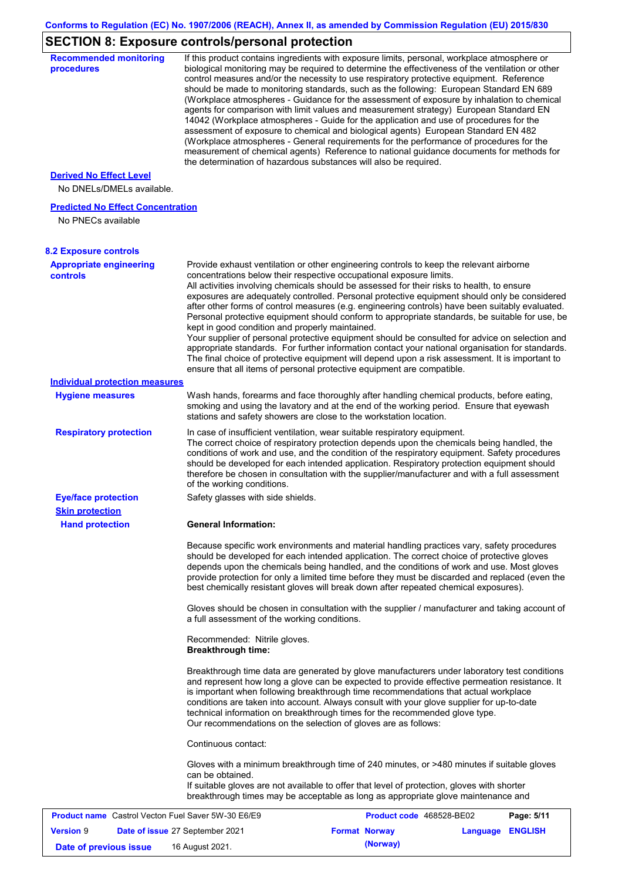### **SECTION 8: Exposure controls/personal protection**

| <b>Recommended monitoring</b><br>procedures                    |                                                           | If this product contains ingredients with exposure limits, personal, workplace atmosphere or<br>biological monitoring may be required to determine the effectiveness of the ventilation or other<br>control measures and/or the necessity to use respiratory protective equipment. Reference<br>should be made to monitoring standards, such as the following: European Standard EN 689<br>(Workplace atmospheres - Guidance for the assessment of exposure by inhalation to chemical<br>agents for comparison with limit values and measurement strategy) European Standard EN<br>14042 (Workplace atmospheres - Guide for the application and use of procedures for the<br>assessment of exposure to chemical and biological agents) European Standard EN 482<br>(Workplace atmospheres - General requirements for the performance of procedures for the<br>measurement of chemical agents) Reference to national guidance documents for methods for<br>the determination of hazardous substances will also be required. |                  |            |
|----------------------------------------------------------------|-----------------------------------------------------------|----------------------------------------------------------------------------------------------------------------------------------------------------------------------------------------------------------------------------------------------------------------------------------------------------------------------------------------------------------------------------------------------------------------------------------------------------------------------------------------------------------------------------------------------------------------------------------------------------------------------------------------------------------------------------------------------------------------------------------------------------------------------------------------------------------------------------------------------------------------------------------------------------------------------------------------------------------------------------------------------------------------------------|------------------|------------|
| <b>Derived No Effect Level</b><br>No DNELs/DMELs available.    |                                                           |                                                                                                                                                                                                                                                                                                                                                                                                                                                                                                                                                                                                                                                                                                                                                                                                                                                                                                                                                                                                                            |                  |            |
| <b>Predicted No Effect Concentration</b><br>No PNECs available |                                                           |                                                                                                                                                                                                                                                                                                                                                                                                                                                                                                                                                                                                                                                                                                                                                                                                                                                                                                                                                                                                                            |                  |            |
| <b>8.2 Exposure controls</b>                                   |                                                           |                                                                                                                                                                                                                                                                                                                                                                                                                                                                                                                                                                                                                                                                                                                                                                                                                                                                                                                                                                                                                            |                  |            |
| <b>Appropriate engineering</b><br><b>controls</b>              | kept in good condition and properly maintained.           | Provide exhaust ventilation or other engineering controls to keep the relevant airborne<br>concentrations below their respective occupational exposure limits.<br>All activities involving chemicals should be assessed for their risks to health, to ensure<br>exposures are adequately controlled. Personal protective equipment should only be considered<br>after other forms of control measures (e.g. engineering controls) have been suitably evaluated.<br>Personal protective equipment should conform to appropriate standards, be suitable for use, be<br>Your supplier of personal protective equipment should be consulted for advice on selection and<br>appropriate standards. For further information contact your national organisation for standards.<br>The final choice of protective equipment will depend upon a risk assessment. It is important to<br>ensure that all items of personal protective equipment are compatible.                                                                       |                  |            |
| <b>Individual protection measures</b>                          |                                                           |                                                                                                                                                                                                                                                                                                                                                                                                                                                                                                                                                                                                                                                                                                                                                                                                                                                                                                                                                                                                                            |                  |            |
| <b>Hygiene measures</b>                                        |                                                           | Wash hands, forearms and face thoroughly after handling chemical products, before eating,<br>smoking and using the lavatory and at the end of the working period. Ensure that eyewash<br>stations and safety showers are close to the workstation location.                                                                                                                                                                                                                                                                                                                                                                                                                                                                                                                                                                                                                                                                                                                                                                |                  |            |
| <b>Respiratory protection</b>                                  | of the working conditions.                                | In case of insufficient ventilation, wear suitable respiratory equipment.<br>The correct choice of respiratory protection depends upon the chemicals being handled, the<br>conditions of work and use, and the condition of the respiratory equipment. Safety procedures<br>should be developed for each intended application. Respiratory protection equipment should<br>therefore be chosen in consultation with the supplier/manufacturer and with a full assessment                                                                                                                                                                                                                                                                                                                                                                                                                                                                                                                                                    |                  |            |
| <b>Eye/face protection</b><br><b>Skin protection</b>           | Safety glasses with side shields.                         |                                                                                                                                                                                                                                                                                                                                                                                                                                                                                                                                                                                                                                                                                                                                                                                                                                                                                                                                                                                                                            |                  |            |
| <b>Hand protection</b>                                         | <b>General Information:</b>                               |                                                                                                                                                                                                                                                                                                                                                                                                                                                                                                                                                                                                                                                                                                                                                                                                                                                                                                                                                                                                                            |                  |            |
|                                                                |                                                           | Because specific work environments and material handling practices vary, safety procedures<br>should be developed for each intended application. The correct choice of protective gloves<br>depends upon the chemicals being handled, and the conditions of work and use. Most gloves<br>provide protection for only a limited time before they must be discarded and replaced (even the<br>best chemically resistant gloves will break down after repeated chemical exposures).                                                                                                                                                                                                                                                                                                                                                                                                                                                                                                                                           |                  |            |
|                                                                | a full assessment of the working conditions.              | Gloves should be chosen in consultation with the supplier / manufacturer and taking account of                                                                                                                                                                                                                                                                                                                                                                                                                                                                                                                                                                                                                                                                                                                                                                                                                                                                                                                             |                  |            |
|                                                                | Recommended: Nitrile gloves.<br><b>Breakthrough time:</b> |                                                                                                                                                                                                                                                                                                                                                                                                                                                                                                                                                                                                                                                                                                                                                                                                                                                                                                                                                                                                                            |                  |            |
|                                                                |                                                           | Breakthrough time data are generated by glove manufacturers under laboratory test conditions<br>and represent how long a glove can be expected to provide effective permeation resistance. It<br>is important when following breakthrough time recommendations that actual workplace<br>conditions are taken into account. Always consult with your glove supplier for up-to-date<br>technical information on breakthrough times for the recommended glove type.<br>Our recommendations on the selection of gloves are as follows:                                                                                                                                                                                                                                                                                                                                                                                                                                                                                         |                  |            |
|                                                                | Continuous contact:                                       |                                                                                                                                                                                                                                                                                                                                                                                                                                                                                                                                                                                                                                                                                                                                                                                                                                                                                                                                                                                                                            |                  |            |
|                                                                | can be obtained.                                          | Gloves with a minimum breakthrough time of 240 minutes, or >480 minutes if suitable gloves<br>If suitable gloves are not available to offer that level of protection, gloves with shorter<br>breakthrough times may be acceptable as long as appropriate glove maintenance and                                                                                                                                                                                                                                                                                                                                                                                                                                                                                                                                                                                                                                                                                                                                             |                  |            |
| <b>Product name</b> Castrol Vecton Fuel Saver 5W-30 E6/E9      |                                                           | Product code 468528-BE02                                                                                                                                                                                                                                                                                                                                                                                                                                                                                                                                                                                                                                                                                                                                                                                                                                                                                                                                                                                                   |                  | Page: 5/11 |
| <b>Version 9</b>                                               | Date of issue 27 September 2021                           | <b>Format Norway</b>                                                                                                                                                                                                                                                                                                                                                                                                                                                                                                                                                                                                                                                                                                                                                                                                                                                                                                                                                                                                       | Language ENGLISH |            |
| Date of previous issue                                         | 16 August 2021.                                           | (Norway)                                                                                                                                                                                                                                                                                                                                                                                                                                                                                                                                                                                                                                                                                                                                                                                                                                                                                                                                                                                                                   |                  |            |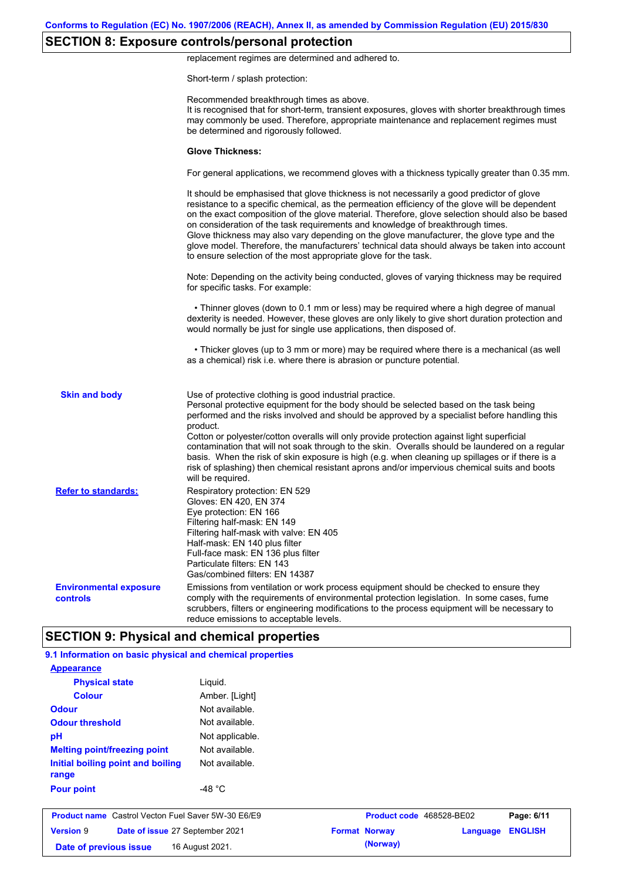## **SECTION 8: Exposure controls/personal protection**

replacement regimes are determined and adhered to.

Short-term / splash protection:

|                                           | Recommended breakthrough times as above.<br>It is recognised that for short-term, transient exposures, gloves with shorter breakthrough times<br>may commonly be used. Therefore, appropriate maintenance and replacement regimes must<br>be determined and rigorously followed.                                                                                                                                                                                                                                                                                                                                                                                                      |
|-------------------------------------------|---------------------------------------------------------------------------------------------------------------------------------------------------------------------------------------------------------------------------------------------------------------------------------------------------------------------------------------------------------------------------------------------------------------------------------------------------------------------------------------------------------------------------------------------------------------------------------------------------------------------------------------------------------------------------------------|
|                                           | <b>Glove Thickness:</b>                                                                                                                                                                                                                                                                                                                                                                                                                                                                                                                                                                                                                                                               |
|                                           | For general applications, we recommend gloves with a thickness typically greater than 0.35 mm.                                                                                                                                                                                                                                                                                                                                                                                                                                                                                                                                                                                        |
|                                           | It should be emphasised that glove thickness is not necessarily a good predictor of glove<br>resistance to a specific chemical, as the permeation efficiency of the glove will be dependent<br>on the exact composition of the glove material. Therefore, glove selection should also be based<br>on consideration of the task requirements and knowledge of breakthrough times.<br>Glove thickness may also vary depending on the glove manufacturer, the glove type and the<br>glove model. Therefore, the manufacturers' technical data should always be taken into account<br>to ensure selection of the most appropriate glove for the task.                                     |
|                                           | Note: Depending on the activity being conducted, gloves of varying thickness may be required<br>for specific tasks. For example:                                                                                                                                                                                                                                                                                                                                                                                                                                                                                                                                                      |
|                                           | • Thinner gloves (down to 0.1 mm or less) may be required where a high degree of manual<br>dexterity is needed. However, these gloves are only likely to give short duration protection and<br>would normally be just for single use applications, then disposed of.                                                                                                                                                                                                                                                                                                                                                                                                                  |
|                                           | • Thicker gloves (up to 3 mm or more) may be required where there is a mechanical (as well<br>as a chemical) risk i.e. where there is abrasion or puncture potential.                                                                                                                                                                                                                                                                                                                                                                                                                                                                                                                 |
| <b>Skin and body</b>                      | Use of protective clothing is good industrial practice.<br>Personal protective equipment for the body should be selected based on the task being<br>performed and the risks involved and should be approved by a specialist before handling this<br>product.<br>Cotton or polyester/cotton overalls will only provide protection against light superficial<br>contamination that will not soak through to the skin. Overalls should be laundered on a regular<br>basis. When the risk of skin exposure is high (e.g. when cleaning up spillages or if there is a<br>risk of splashing) then chemical resistant aprons and/or impervious chemical suits and boots<br>will be required. |
| <b>Refer to standards:</b>                | Respiratory protection: EN 529<br>Gloves: EN 420, EN 374<br>Eye protection: EN 166<br>Filtering half-mask: EN 149<br>Filtering half-mask with valve: EN 405<br>Half-mask: EN 140 plus filter<br>Full-face mask: EN 136 plus filter<br>Particulate filters: EN 143<br>Gas/combined filters: EN 14387                                                                                                                                                                                                                                                                                                                                                                                   |
| <b>Environmental exposure</b><br>controls | Emissions from ventilation or work process equipment should be checked to ensure they<br>comply with the requirements of environmental protection legislation. In some cases, fume<br>scrubbers, filters or engineering modifications to the process equipment will be necessary to<br>reduce emissions to acceptable levels.                                                                                                                                                                                                                                                                                                                                                         |
|                                           | <b>SECTION 9: Physical and chemical properties</b>                                                                                                                                                                                                                                                                                                                                                                                                                                                                                                                                                                                                                                    |

| <b>Appearance</b>                                         |                  |                          |          |                |
|-----------------------------------------------------------|------------------|--------------------------|----------|----------------|
| <b>Physical state</b>                                     | Liquid.          |                          |          |                |
| <b>Colour</b>                                             | Amber. [Light]   |                          |          |                |
| <b>Odour</b>                                              | Not available.   |                          |          |                |
| <b>Odour threshold</b>                                    | Not available.   |                          |          |                |
| pH                                                        | Not applicable.  |                          |          |                |
| <b>Melting point/freezing point</b>                       | Not available.   |                          |          |                |
| Initial boiling point and boiling<br>range                | Not available.   |                          |          |                |
| <b>Pour point</b>                                         | -48 $^{\circ}$ C |                          |          |                |
| <b>Product name</b> Castrol Vecton Fuel Saver 5W-30 E6/E9 |                  | Product code 468528-BE02 |          | Page: 6/11     |
| <b>Version 9</b><br>Date of issue 27 September 2021       |                  | <b>Format Norway</b>     | Language | <b>ENGLISH</b> |
| Date of previous issue                                    | 16 August 2021.  | (Norway)                 |          |                |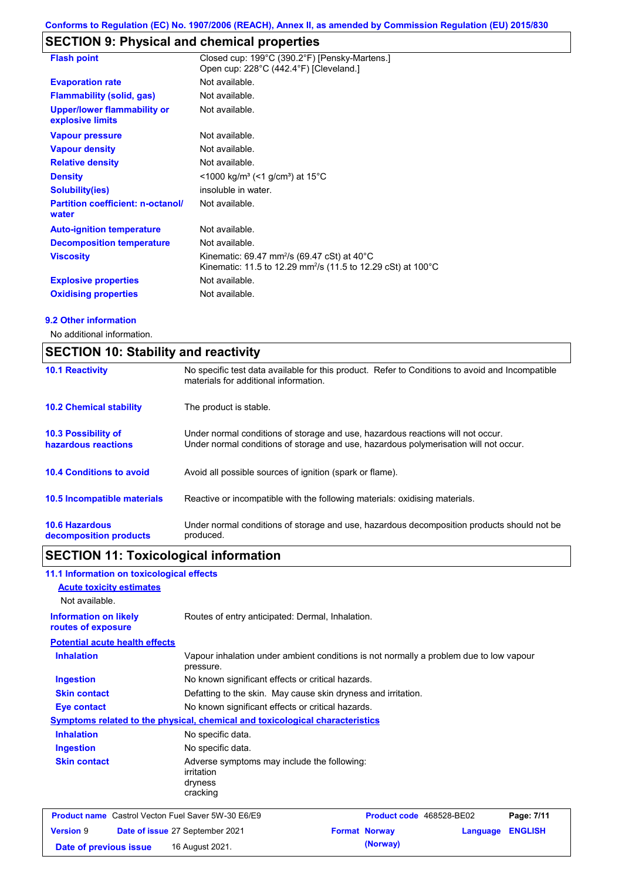### **SECTION 9: Physical and chemical properties**

| <b>Flash point</b>                                     | Closed cup: 199°C (390.2°F) [Pensky-Martens.]<br>Open cup: 228°C (442.4°F) [Cleveland.]                                             |
|--------------------------------------------------------|-------------------------------------------------------------------------------------------------------------------------------------|
| <b>Evaporation rate</b>                                | Not available.                                                                                                                      |
| <b>Flammability (solid, gas)</b>                       | Not available.                                                                                                                      |
| <b>Upper/lower flammability or</b><br>explosive limits | Not available.                                                                                                                      |
| <b>Vapour pressure</b>                                 | Not available.                                                                                                                      |
| <b>Vapour density</b>                                  | Not available.                                                                                                                      |
| <b>Relative density</b>                                | Not available.                                                                                                                      |
| <b>Density</b>                                         | <1000 kg/m <sup>3</sup> (<1 g/cm <sup>3</sup> ) at 15 <sup>°</sup> C                                                                |
| <b>Solubility(ies)</b>                                 | insoluble in water.                                                                                                                 |
| <b>Partition coefficient: n-octanol/</b><br>water      | Not available.                                                                                                                      |
| <b>Auto-ignition temperature</b>                       | Not available.                                                                                                                      |
| <b>Decomposition temperature</b>                       | Not available.                                                                                                                      |
| <b>Viscosity</b>                                       | Kinematic: 69.47 mm <sup>2</sup> /s (69.47 cSt) at 40°C<br>Kinematic: 11.5 to 12.29 mm <sup>2</sup> /s (11.5 to 12.29 cSt) at 100°C |
| <b>Explosive properties</b>                            | Not available.                                                                                                                      |
| <b>Oxidising properties</b>                            | Not available.                                                                                                                      |

#### **9.2 Other information**

No additional information.

| <b>SECTION 10: Stability and reactivity</b>     |                                                                                                                                                                         |  |
|-------------------------------------------------|-------------------------------------------------------------------------------------------------------------------------------------------------------------------------|--|
| <b>10.1 Reactivity</b>                          | No specific test data available for this product. Refer to Conditions to avoid and Incompatible<br>materials for additional information.                                |  |
| <b>10.2 Chemical stability</b>                  | The product is stable.                                                                                                                                                  |  |
| 10.3 Possibility of<br>hazardous reactions      | Under normal conditions of storage and use, hazardous reactions will not occur.<br>Under normal conditions of storage and use, hazardous polymerisation will not occur. |  |
| <b>10.4 Conditions to avoid</b>                 | Avoid all possible sources of ignition (spark or flame).                                                                                                                |  |
| 10.5 Incompatible materials                     | Reactive or incompatible with the following materials: oxidising materials.                                                                                             |  |
| <b>10.6 Hazardous</b><br>decomposition products | Under normal conditions of storage and use, hazardous decomposition products should not be<br>produced.                                                                 |  |

# **SECTION 11: Toxicological information**

| 11.1 Information on toxicological effects                 |                                                                                                     |  |  |  |  |
|-----------------------------------------------------------|-----------------------------------------------------------------------------------------------------|--|--|--|--|
| <b>Acute toxicity estimates</b>                           |                                                                                                     |  |  |  |  |
| Not available.                                            |                                                                                                     |  |  |  |  |
| <b>Information on likely</b><br>routes of exposure        | Routes of entry anticipated: Dermal, Inhalation.                                                    |  |  |  |  |
| <b>Potential acute health effects</b>                     |                                                                                                     |  |  |  |  |
| <b>Inhalation</b>                                         | Vapour inhalation under ambient conditions is not normally a problem due to low vapour<br>pressure. |  |  |  |  |
| <b>Ingestion</b>                                          | No known significant effects or critical hazards.                                                   |  |  |  |  |
| <b>Skin contact</b>                                       | Defatting to the skin. May cause skin dryness and irritation.                                       |  |  |  |  |
| <b>Eye contact</b>                                        | No known significant effects or critical hazards.                                                   |  |  |  |  |
|                                                           | Symptoms related to the physical, chemical and toxicological characteristics                        |  |  |  |  |
| <b>Inhalation</b>                                         | No specific data.                                                                                   |  |  |  |  |
| <b>Ingestion</b>                                          | No specific data.                                                                                   |  |  |  |  |
| <b>Skin contact</b>                                       | Adverse symptoms may include the following:<br>irritation<br>dryness<br>cracking                    |  |  |  |  |
| <b>Product name</b> Castrol Vecton Fuel Saver 5W-30 E6/E9 | Product code 468528-BE02<br>Page: 7/11                                                              |  |  |  |  |
| <b>Version 9</b>                                          | <b>ENGLISH</b><br><b>Format Norway</b><br>Date of issue 27 September 2021<br>Language               |  |  |  |  |
| Date of previous issue                                    | (Norway)<br>16 August 2021.                                                                         |  |  |  |  |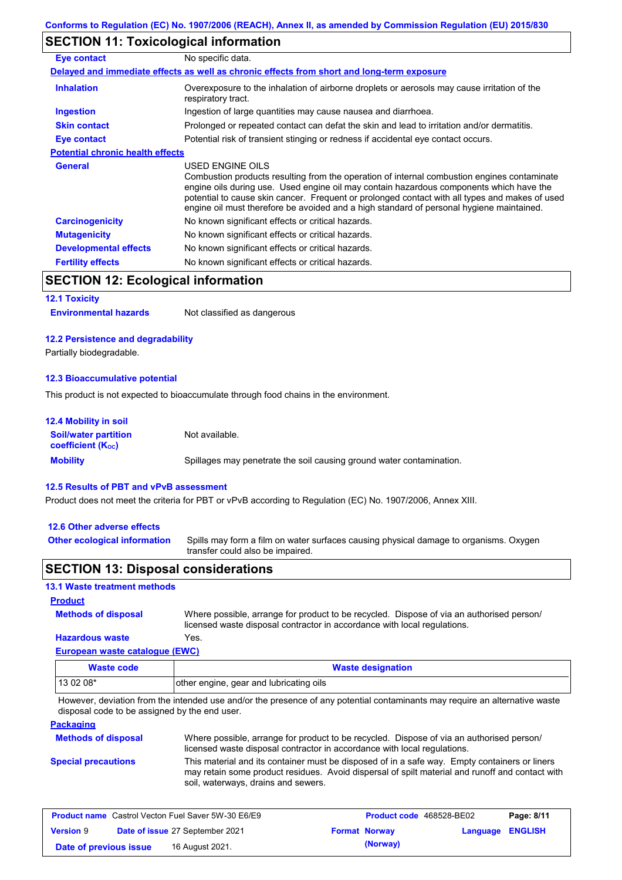### **SECTION 11: Toxicological information**

| No specific data.                                                                                                                                                                                                                                                                                                                                                                                        |
|----------------------------------------------------------------------------------------------------------------------------------------------------------------------------------------------------------------------------------------------------------------------------------------------------------------------------------------------------------------------------------------------------------|
| Delayed and immediate effects as well as chronic effects from short and long-term exposure                                                                                                                                                                                                                                                                                                               |
| Overexposure to the inhalation of airborne droplets or aerosols may cause irritation of the<br>respiratory tract.                                                                                                                                                                                                                                                                                        |
| Ingestion of large quantities may cause nausea and diarrhoea.                                                                                                                                                                                                                                                                                                                                            |
| Prolonged or repeated contact can defat the skin and lead to irritation and/or dermatitis.                                                                                                                                                                                                                                                                                                               |
| Potential risk of transient stinging or redness if accidental eye contact occurs.                                                                                                                                                                                                                                                                                                                        |
| <b>Potential chronic health effects</b>                                                                                                                                                                                                                                                                                                                                                                  |
| USED ENGINE OILS<br>Combustion products resulting from the operation of internal combustion engines contaminate<br>engine oils during use. Used engine oil may contain hazardous components which have the<br>potential to cause skin cancer. Frequent or prolonged contact with all types and makes of used<br>engine oil must therefore be avoided and a high standard of personal hygiene maintained. |
| No known significant effects or critical hazards.                                                                                                                                                                                                                                                                                                                                                        |
| No known significant effects or critical hazards.                                                                                                                                                                                                                                                                                                                                                        |
| No known significant effects or critical hazards.                                                                                                                                                                                                                                                                                                                                                        |
| No known significant effects or critical hazards.                                                                                                                                                                                                                                                                                                                                                        |
|                                                                                                                                                                                                                                                                                                                                                                                                          |

### **SECTION 12: Ecological information**

#### **12.1 Toxicity**

| <b>Environmental hazards</b> | Not classified as dangerous |
|------------------------------|-----------------------------|
|------------------------------|-----------------------------|

#### **12.2 Persistence and degradability**

Partially biodegradable.

#### **12.3 Bioaccumulative potential**

This product is not expected to bioaccumulate through food chains in the environment.

| <b>12.4 Mobility in soil</b>                            |                                                                      |
|---------------------------------------------------------|----------------------------------------------------------------------|
| <b>Soil/water partition</b><br><b>coefficient (Koc)</b> | Not available.                                                       |
| <b>Mobility</b>                                         | Spillages may penetrate the soil causing ground water contamination. |

#### **12.5 Results of PBT and vPvB assessment**

Product does not meet the criteria for PBT or vPvB according to Regulation (EC) No. 1907/2006, Annex XIII.

#### **12.6 Other adverse effects**

**Other ecological information**

Spills may form a film on water surfaces causing physical damage to organisms. Oxygen transfer could also be impaired.

#### **SECTION 13: Disposal considerations**

#### **13.1 Waste treatment methods**

**Methods of disposal**

**Product**

**Hazardous waste** Yes. Where possible, arrange for product to be recycled. Dispose of via an authorised person/ licensed waste disposal contractor in accordance with local regulations.

### **European waste catalogue (EWC)**

| Waste code | <b>Waste designation</b>                |
|------------|-----------------------------------------|
| 13 02 08*  | other engine, gear and lubricating oils |

However, deviation from the intended use and/or the presence of any potential contaminants may require an alternative waste disposal code to be assigned by the end user.

#### **Packaging**

| <b>Methods of disposal</b> | Where possible, arrange for product to be recycled. Dispose of via an authorised person/<br>licensed waste disposal contractor in accordance with local regulations.                                                                    |
|----------------------------|-----------------------------------------------------------------------------------------------------------------------------------------------------------------------------------------------------------------------------------------|
| <b>Special precautions</b> | This material and its container must be disposed of in a safe way. Empty containers or liners<br>may retain some product residues. Avoid dispersal of spilt material and runoff and contact with<br>soil, waterways, drains and sewers. |

| <b>Product name</b> Castrol Vecton Fuel Saver 5W-30 E6/E9 |  | Product code 468528-BE02               |  | Page: 8/11           |                  |  |
|-----------------------------------------------------------|--|----------------------------------------|--|----------------------|------------------|--|
| <b>Version 9</b>                                          |  | <b>Date of issue 27 September 2021</b> |  | <b>Format Norway</b> | Language ENGLISH |  |
| Date of previous issue                                    |  | 16 August 2021.                        |  | (Norway)             |                  |  |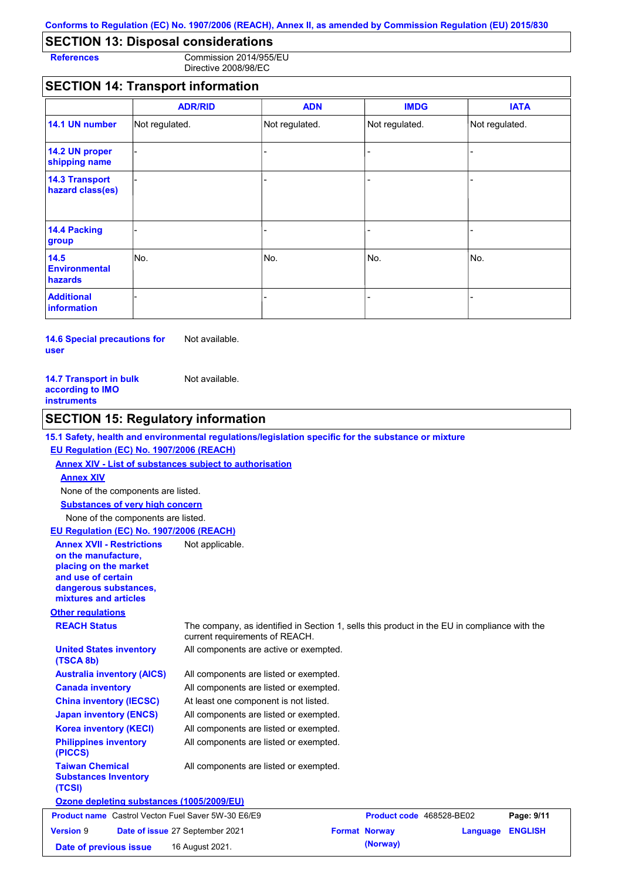### **SECTION 13: Disposal considerations**

**References** Commission 2014/955/EU Directive 2008/98/EC

### **SECTION 14: Transport information**

|                                           | <b>ADR/RID</b> | <b>ADN</b>     | <b>IMDG</b>    | <b>IATA</b>    |
|-------------------------------------------|----------------|----------------|----------------|----------------|
| 14.1 UN number                            | Not regulated. | Not regulated. | Not regulated. | Not regulated. |
| 14.2 UN proper<br>shipping name           |                |                |                |                |
| <b>14.3 Transport</b><br>hazard class(es) |                |                |                |                |
| 14.4 Packing<br>group                     |                |                | -              |                |
| 14.5<br><b>Environmental</b><br>hazards   | No.            | No.            | No.            | No.            |
| <b>Additional</b><br>information          |                |                |                |                |

**14.6 Special precautions for user** Not available.

#### **14.7 Transport in bulk according to IMO instruments** Not available.

| <b>SECTION 15: Regulatory information</b>                                                                                                                |                                                                                                                                |  |  |  |
|----------------------------------------------------------------------------------------------------------------------------------------------------------|--------------------------------------------------------------------------------------------------------------------------------|--|--|--|
|                                                                                                                                                          | 15.1 Safety, health and environmental regulations/legislation specific for the substance or mixture                            |  |  |  |
| EU Regulation (EC) No. 1907/2006 (REACH)                                                                                                                 |                                                                                                                                |  |  |  |
|                                                                                                                                                          | Annex XIV - List of substances subject to authorisation                                                                        |  |  |  |
| <b>Annex XIV</b>                                                                                                                                         |                                                                                                                                |  |  |  |
| None of the components are listed.                                                                                                                       |                                                                                                                                |  |  |  |
| <b>Substances of very high concern</b>                                                                                                                   |                                                                                                                                |  |  |  |
| None of the components are listed.                                                                                                                       |                                                                                                                                |  |  |  |
| EU Regulation (EC) No. 1907/2006 (REACH)                                                                                                                 |                                                                                                                                |  |  |  |
| <b>Annex XVII - Restrictions</b><br>on the manufacture.<br>placing on the market<br>and use of certain<br>dangerous substances,<br>mixtures and articles | Not applicable.                                                                                                                |  |  |  |
| <b>Other regulations</b>                                                                                                                                 |                                                                                                                                |  |  |  |
| <b>REACH Status</b>                                                                                                                                      | The company, as identified in Section 1, sells this product in the EU in compliance with the<br>current requirements of REACH. |  |  |  |
| <b>United States inventory</b><br>(TSCA 8b)                                                                                                              | All components are active or exempted.                                                                                         |  |  |  |
| <b>Australia inventory (AICS)</b>                                                                                                                        | All components are listed or exempted.                                                                                         |  |  |  |
| <b>Canada inventory</b>                                                                                                                                  | All components are listed or exempted.                                                                                         |  |  |  |
| <b>China inventory (IECSC)</b>                                                                                                                           | At least one component is not listed.                                                                                          |  |  |  |
| <b>Japan inventory (ENCS)</b>                                                                                                                            | All components are listed or exempted.                                                                                         |  |  |  |
| <b>Korea inventory (KECI)</b>                                                                                                                            | All components are listed or exempted.                                                                                         |  |  |  |
| <b>Philippines inventory</b><br>(PICCS)                                                                                                                  | All components are listed or exempted.                                                                                         |  |  |  |
| <b>Taiwan Chemical</b><br><b>Substances Inventory</b><br>(TCSI)                                                                                          | All components are listed or exempted.                                                                                         |  |  |  |
| Ozone depleting substances (1005/2009/EU)                                                                                                                |                                                                                                                                |  |  |  |
| <b>Product name</b> Castrol Vecton Fuel Saver 5W-30 E6/E9                                                                                                | Product code 468528-BE02<br>Page: 9/11                                                                                         |  |  |  |
| <b>Version 9</b>                                                                                                                                         | Date of issue 27 September 2021<br><b>Format Norway</b><br><b>ENGLISH</b><br>Language                                          |  |  |  |

**Date of previous issue 16 August 2021. (Norway)** (Norway)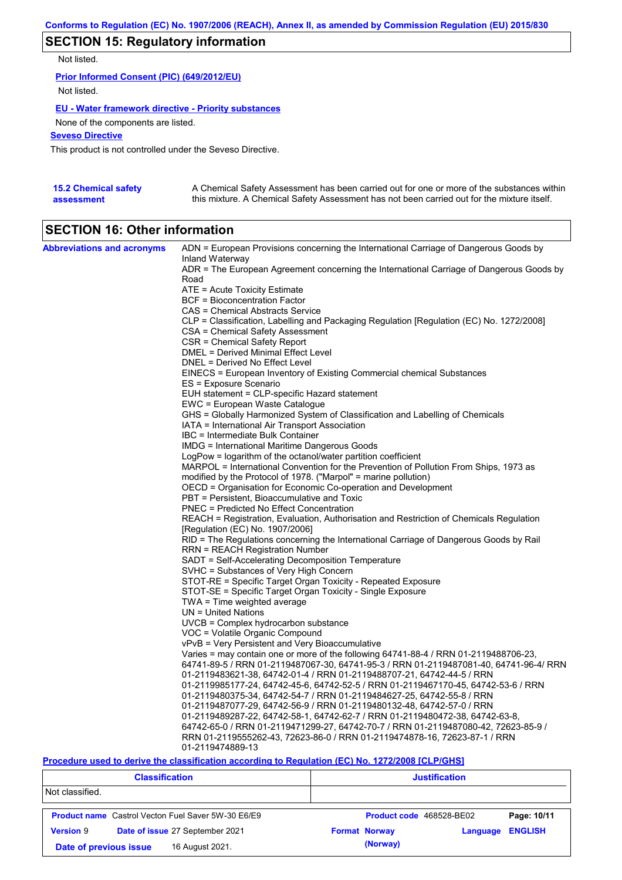### **SECTION 15: Regulatory information**

Not listed.

**Prior Informed Consent (PIC) (649/2012/EU)** Not listed.

#### **EU - Water framework directive - Priority substances**

None of the components are listed.

**Seveso Directive**

This product is not controlled under the Seveso Directive.

| <b>15.2 Chemical safety</b> | A Chemical Safety Assessment has been carried out for one or more of the substances within  |
|-----------------------------|---------------------------------------------------------------------------------------------|
| assessment                  | this mixture. A Chemical Safety Assessment has not been carried out for the mixture itself. |

### **SECTION 16: Other information**

| <b>Abbreviations and acronyms</b> | ADN = European Provisions concerning the International Carriage of Dangerous Goods by                                                                    |
|-----------------------------------|----------------------------------------------------------------------------------------------------------------------------------------------------------|
|                                   | Inland Waterway<br>ADR = The European Agreement concerning the International Carriage of Dangerous Goods by                                              |
|                                   | Road                                                                                                                                                     |
|                                   | ATE = Acute Toxicity Estimate                                                                                                                            |
|                                   | BCF = Bioconcentration Factor                                                                                                                            |
|                                   | CAS = Chemical Abstracts Service                                                                                                                         |
|                                   | CLP = Classification, Labelling and Packaging Regulation [Regulation (EC) No. 1272/2008]                                                                 |
|                                   | CSA = Chemical Safety Assessment                                                                                                                         |
|                                   | CSR = Chemical Safety Report                                                                                                                             |
|                                   | DMEL = Derived Minimal Effect Level                                                                                                                      |
|                                   | DNEL = Derived No Effect Level                                                                                                                           |
|                                   | EINECS = European Inventory of Existing Commercial chemical Substances                                                                                   |
|                                   | ES = Exposure Scenario                                                                                                                                   |
|                                   | EUH statement = CLP-specific Hazard statement                                                                                                            |
|                                   | EWC = European Waste Catalogue                                                                                                                           |
|                                   | GHS = Globally Harmonized System of Classification and Labelling of Chemicals                                                                            |
|                                   | IATA = International Air Transport Association                                                                                                           |
|                                   | IBC = Intermediate Bulk Container                                                                                                                        |
|                                   | IMDG = International Maritime Dangerous Goods                                                                                                            |
|                                   | LogPow = logarithm of the octanol/water partition coefficient                                                                                            |
|                                   | MARPOL = International Convention for the Prevention of Pollution From Ships, 1973 as<br>modified by the Protocol of 1978. ("Marpol" = marine pollution) |
|                                   | OECD = Organisation for Economic Co-operation and Development                                                                                            |
|                                   | PBT = Persistent, Bioaccumulative and Toxic                                                                                                              |
|                                   | <b>PNEC = Predicted No Effect Concentration</b>                                                                                                          |
|                                   | REACH = Registration, Evaluation, Authorisation and Restriction of Chemicals Regulation                                                                  |
|                                   | [Regulation (EC) No. 1907/2006]                                                                                                                          |
|                                   | RID = The Regulations concerning the International Carriage of Dangerous Goods by Rail                                                                   |
|                                   | RRN = REACH Registration Number                                                                                                                          |
|                                   | SADT = Self-Accelerating Decomposition Temperature                                                                                                       |
|                                   | SVHC = Substances of Very High Concern                                                                                                                   |
|                                   | STOT-RE = Specific Target Organ Toxicity - Repeated Exposure                                                                                             |
|                                   | STOT-SE = Specific Target Organ Toxicity - Single Exposure                                                                                               |
|                                   | TWA = Time weighted average                                                                                                                              |
|                                   | $UN = United Nations$                                                                                                                                    |
|                                   | $UVCB = Complex\;hydrocarbon\; substance$                                                                                                                |
|                                   | VOC = Volatile Organic Compound                                                                                                                          |
|                                   | vPvB = Very Persistent and Very Bioaccumulative                                                                                                          |
|                                   | Varies = may contain one or more of the following 64741-88-4 / RRN 01-2119488706-23,                                                                     |
|                                   | 64741-89-5 / RRN 01-2119487067-30, 64741-95-3 / RRN 01-2119487081-40, 64741-96-4/ RRN                                                                    |
|                                   | 01-2119483621-38, 64742-01-4 / RRN 01-2119488707-21, 64742-44-5 / RRN                                                                                    |
|                                   | 01-2119985177-24, 64742-45-6, 64742-52-5 / RRN 01-2119467170-45, 64742-53-6 / RRN                                                                        |
|                                   | 01-2119480375-34, 64742-54-7 / RRN 01-2119484627-25, 64742-55-8 / RRN                                                                                    |
|                                   | 01-2119487077-29, 64742-56-9 / RRN 01-2119480132-48, 64742-57-0 / RRN                                                                                    |
|                                   | 01-2119489287-22, 64742-58-1, 64742-62-7 / RRN 01-2119480472-38, 64742-63-8,                                                                             |
|                                   | 64742-65-0 / RRN 01-2119471299-27, 64742-70-7 / RRN 01-2119487080-42, 72623-85-9 /                                                                       |
|                                   | RRN 01-2119555262-43, 72623-86-0 / RRN 01-2119474878-16, 72623-87-1 / RRN                                                                                |
|                                   | 01-2119474889-13                                                                                                                                         |

**Procedure used to derive the classification according to Regulation (EC) No. 1272/2008 [CLP/GHS]**

| <b>Classification</b>                     |                                                           | <b>Justification</b> |                          |          |                |
|-------------------------------------------|-----------------------------------------------------------|----------------------|--------------------------|----------|----------------|
| Not classified.                           |                                                           |                      |                          |          |                |
|                                           | <b>Product name</b> Castrol Vecton Fuel Saver 5W-30 E6/E9 |                      | Product code 468528-BE02 |          | Page: 10/11    |
| <b>Version 9</b>                          | Date of issue 27 September 2021                           |                      | <b>Format Norway</b>     | Language | <b>ENGLISH</b> |
| 16 August 2021.<br>Date of previous issue |                                                           |                      | (Norway)                 |          |                |